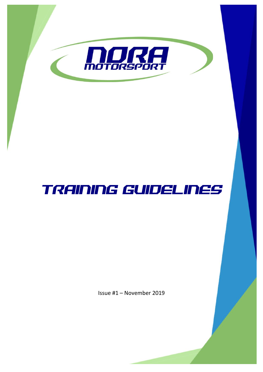

# TRAINING GUIDELINES

Issue #1 – November 2019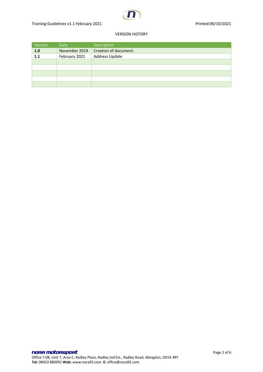## VERSION HISTORY

| Version | Date          | Description           |
|---------|---------------|-----------------------|
| 1.0     | November 2019 | Creation of document. |
| 1.1     | February 2021 | Address Update        |
|         |               |                       |
|         |               |                       |
|         |               |                       |
|         |               |                       |
|         |               |                       |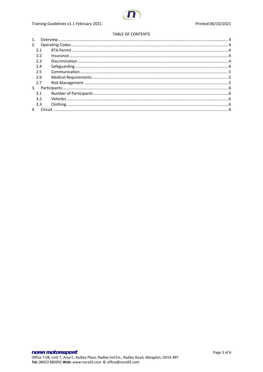### TABLE OF CONTENTS

| 2 <sub>1</sub> |  |  |
|----------------|--|--|
| 2.1            |  |  |
| 2.2            |  |  |
| 2.3            |  |  |
| 2.4            |  |  |
| 2.5            |  |  |
| 2.6            |  |  |
| 2.7            |  |  |
| 3.             |  |  |
| 3.1            |  |  |
| 3.2            |  |  |
| 3.3            |  |  |
|                |  |  |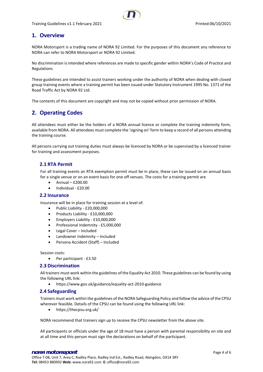# <span id="page-3-0"></span>**1. Overview**

NORA Motorsport is a trading name of NORA 92 Limited. For the purposes of this document any reference to NORA can refer to NORA Motorsport or NORA 92 Limited.

No discrimination is intended where references are made to specific gender within NORA's Code of Practice and Regulations

These guidelines are intended to assist trainers working under the authority of NORA when dealing with closed group training events where a training permit has been issued under Statutory Instrument 1995 No. 1371 of the Road Traffic Act by NORA 92 Ltd.

<span id="page-3-1"></span>The contents of this document are copyright and may not be copied without prior permission of NORA.

# **2. Operating Codes**

All attendees must either be the holders of a NORA annual licence or complete the training indemnity form, available from NORA. All attendees must complete the 'signing on' form to keep a record of all persons attending the training course.

All persons carrying out training duties must always be licenced by NORA or be supervised by a licenced trainer for training and assessment purposes.

## <span id="page-3-2"></span>**2.1 RTA Permit**

For all training events an RTA exemption permit must be in place, these can be issued on an annual basis for a single venue or on an event basis for one off venues. The costs for a training permit are

- Annual £200.00
- Individual £20.00

#### <span id="page-3-3"></span>**2.2 Insurance**

Insurance will be in place for training session at a level of:

- Public Liability £20,000,000
- Products Liability £10,000,000
- Employers Liability £10,000,000
- Professional Indemnity £5,000,000
- Legal Cover Included
- Landowner Indemnity Included
- Persona Accident (Staff) Included

Session costs:

• Per participant - £3.50

### <span id="page-3-4"></span>**2.3 Discrimination**

All trainers must work within the guidelines of the Equality Act 2010. These guidelines can be found by using the following URL link:

• https://www.gov.uk/guidance/equality-act-2010-guidance

### <span id="page-3-5"></span>**2.4 Safeguarding**

Trainers must work within the guidelines of the NORA Safeguarding Policy and follow the advice of the CPSU wherever feasible. Details of the CPSU can be found using the following URL link:

• https://thecpsu.org.uk/

NORA recommend that trainers sign up to receive the CPSU newsletter from the above site.

All participants or officials under the age of 18 must have a person with parental responsibility on site and at all time and this person must sign the declarations on behalf of the participant.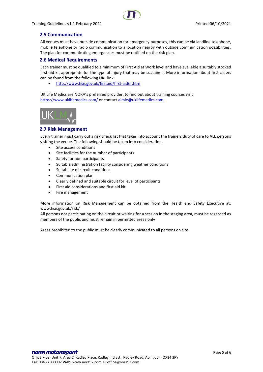

# <span id="page-4-0"></span>**2.5 Communication**

All venues must have outside communication for emergency purposes, this can be via landline telephone, mobile telephone or radio communication to a location nearby with outside communication possibilities. The plan for communicating emergencies must be notified on the risk plan.

## <span id="page-4-1"></span>**2.6 Medical Requirements**

Each trainer must be qualified to a minimum of First Aid at Work level and have available a suitably stocked first aid kit appropriate for the type of injury that may be sustained. More information about first-aiders can be found from the following URL link:

• <http://www.hse.gov.uk/firstaid/first-aider.htm>

UK Life Medics are NORA's preferred provider, to find out about training courses visit <https://www.uklifemedics.com/> or contact [aimie@uklifemedics.com](mailto:aimie@uklifemedics.com)



### <span id="page-4-2"></span>**2.7 Risk Management**

Every trainer must carry out a risk check list that takes into account the trainers duty of care to ALL persons visiting the venue. The following should be taken into consideration.

- Site access conditions
- Site facilities for the number of participants
- Safety for non participants
- Suitable administration facility considering weather conditions
- Suitability of circuit conditions
- Communication plan
- Clearly defined and suitable circuit for level of participants
- First aid considerations and first aid kit
- Fire management

More information on Risk Management can be obtained from the Health and Safety Executive at: www.hse.gov.uk/risk/

All persons not participating on the circuit or waiting for a session in the staging area, must be regarded as members of the public and must remain in permitted areas only

Areas prohibited to the public must be clearly communicated to all persons on site.